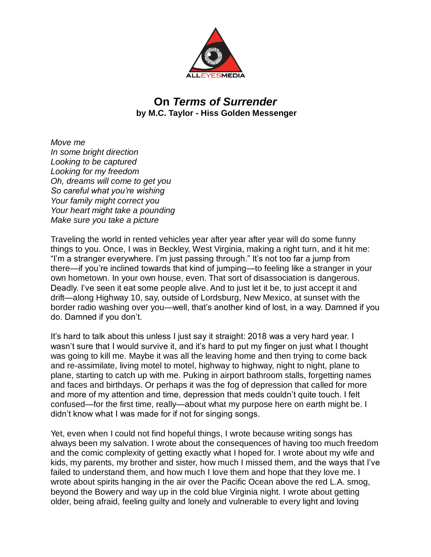

## **On** *Terms of Surrender* **by M.C. Taylor - Hiss Golden Messenger**

*Move me In some bright direction Looking to be captured Looking for my freedom Oh, dreams will come to get you So careful what you're wishing Your family might correct you Your heart might take a pounding Make sure you take a picture*

Traveling the world in rented vehicles year after year after year will do some funny things to you. Once, I was in Beckley, West Virginia, making a right turn, and it hit me: "I'm a stranger everywhere. I'm just passing through." It's not too far a jump from there—if you're inclined towards that kind of jumping—to feeling like a stranger in your own hometown. In your own house, even. That sort of disassociation is dangerous. Deadly. I've seen it eat some people alive. And to just let it be, to just accept it and drift—along Highway 10, say, outside of Lordsburg, New Mexico, at sunset with the border radio washing over you—well, that's another kind of lost, in a way. Damned if you do. Damned if you don't.

It's hard to talk about this unless I just say it straight: 2018 was a very hard year. I wasn't sure that I would survive it, and it's hard to put my finger on just what I thought was going to kill me. Maybe it was all the leaving home and then trying to come back and re-assimilate, living motel to motel, highway to highway, night to night, plane to plane, starting to catch up with me. Puking in airport bathroom stalls, forgetting names and faces and birthdays. Or perhaps it was the fog of depression that called for more and more of my attention and time, depression that meds couldn't quite touch. I felt confused—for the first time, really—about what my purpose here on earth might be. I didn't know what I was made for if not for singing songs.

Yet, even when I could not find hopeful things, I wrote because writing songs has always been my salvation. I wrote about the consequences of having too much freedom and the comic complexity of getting exactly what I hoped for. I wrote about my wife and kids, my parents, my brother and sister, how much I missed them, and the ways that I've failed to understand them, and how much I love them and hope that they love me. I wrote about spirits hanging in the air over the Pacific Ocean above the red L.A. smog, beyond the Bowery and way up in the cold blue Virginia night. I wrote about getting older, being afraid, feeling guilty and lonely and vulnerable to every light and loving